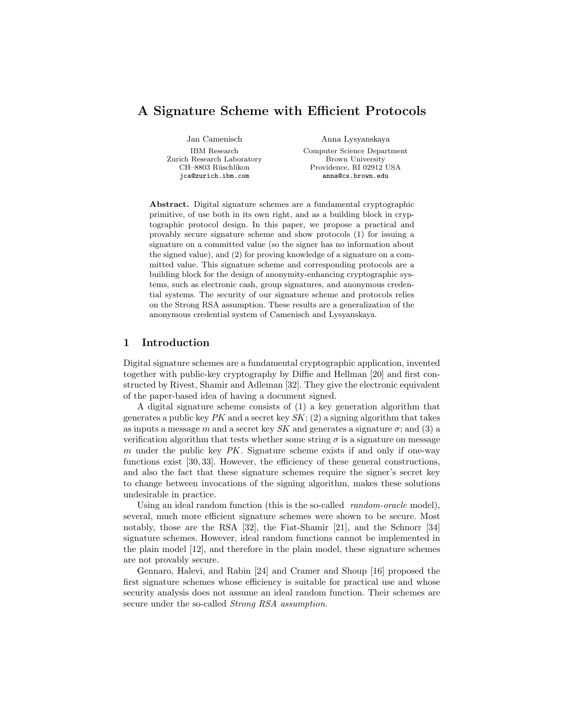# A Signature Scheme with Efficient Protocols

Jan Camenisch IBM Research Zurich Research Laboratory CH–8803 Rüschlikon jca@zurich.ibm.com

Anna Lysyanskaya Computer Science Department Brown University Providence, RI 02912 USA anna@cs.brown.edu

Abstract. Digital signature schemes are a fundamental cryptographic primitive, of use both in its own right, and as a building block in cryptographic protocol design. In this paper, we propose a practical and provably secure signature scheme and show protocols (1) for issuing a signature on a committed value (so the signer has no information about the signed value), and (2) for proving knowledge of a signature on a committed value. This signature scheme and corresponding protocols are a building block for the design of anonymity-enhancing cryptographic systems, such as electronic cash, group signatures, and anonymous credential systems. The security of our signature scheme and protocols relies on the Strong RSA assumption. These results are a generalization of the anonymous credential system of Camenisch and Lysyanskaya.

# 1 Introduction

Digital signature schemes are a fundamental cryptographic application, invented together with public-key cryptography by Diffie and Hellman [20] and first constructed by Rivest, Shamir and Adleman [32]. They give the electronic equivalent of the paper-based idea of having a document signed.

A digital signature scheme consists of (1) a key generation algorithm that generates a public key  $PK$  and a secret key  $SK$ ; (2) a signing algorithm that takes as inputs a message m and a secret key SK and generates a signature  $\sigma$ ; and (3) a verification algorithm that tests whether some string  $\sigma$  is a signature on message m under the public key  $PK$ . Signature scheme exists if and only if one-way functions exist [30, 33]. However, the efficiency of these general constructions, and also the fact that these signature schemes require the signer's secret key to change between invocations of the signing algorithm, makes these solutions undesirable in practice.

Using an ideal random function (this is the so-called *random-oracle* model), several, much more efficient signature schemes were shown to be secure. Most notably, those are the RSA [32], the Fiat-Shamir [21], and the Schnorr [34] signature schemes. However, ideal random functions cannot be implemented in the plain model [12], and therefore in the plain model, these signature schemes are not provably secure.

Gennaro, Halevi, and Rabin [24] and Cramer and Shoup [16] proposed the first signature schemes whose efficiency is suitable for practical use and whose security analysis does not assume an ideal random function. Their schemes are secure under the so-called *Strong RSA* assumption.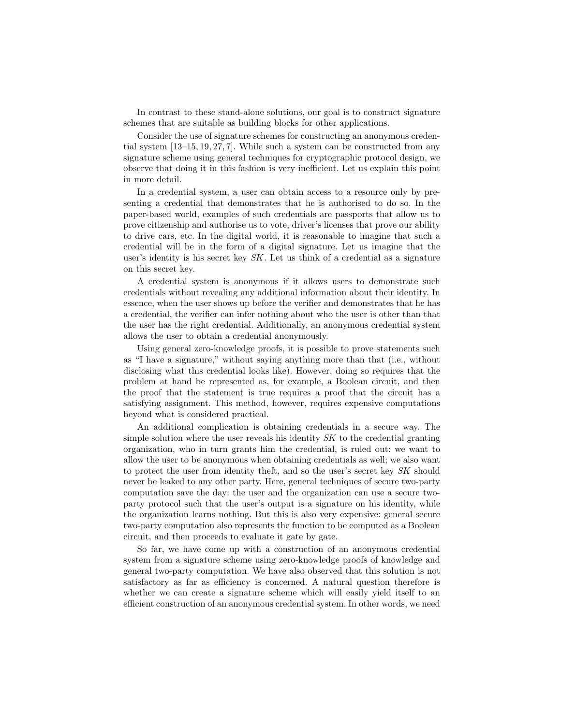In contrast to these stand-alone solutions, our goal is to construct signature schemes that are suitable as building blocks for other applications.

Consider the use of signature schemes for constructing an anonymous credential system [13–15, 19, 27, 7]. While such a system can be constructed from any signature scheme using general techniques for cryptographic protocol design, we observe that doing it in this fashion is very inefficient. Let us explain this point in more detail.

In a credential system, a user can obtain access to a resource only by presenting a credential that demonstrates that he is authorised to do so. In the paper-based world, examples of such credentials are passports that allow us to prove citizenship and authorise us to vote, driver's licenses that prove our ability to drive cars, etc. In the digital world, it is reasonable to imagine that such a credential will be in the form of a digital signature. Let us imagine that the user's identity is his secret key  $SK$ . Let us think of a credential as a signature on this secret key.

A credential system is anonymous if it allows users to demonstrate such credentials without revealing any additional information about their identity. In essence, when the user shows up before the verifier and demonstrates that he has a credential, the verifier can infer nothing about who the user is other than that the user has the right credential. Additionally, an anonymous credential system allows the user to obtain a credential anonymously.

Using general zero-knowledge proofs, it is possible to prove statements such as "I have a signature," without saying anything more than that (i.e., without disclosing what this credential looks like). However, doing so requires that the problem at hand be represented as, for example, a Boolean circuit, and then the proof that the statement is true requires a proof that the circuit has a satisfying assignment. This method, however, requires expensive computations beyond what is considered practical.

An additional complication is obtaining credentials in a secure way. The simple solution where the user reveals his identity  $SK$  to the credential granting organization, who in turn grants him the credential, is ruled out: we want to allow the user to be anonymous when obtaining credentials as well; we also want to protect the user from identity theft, and so the user's secret key SK should never be leaked to any other party. Here, general techniques of secure two-party computation save the day: the user and the organization can use a secure twoparty protocol such that the user's output is a signature on his identity, while the organization learns nothing. But this is also very expensive: general secure two-party computation also represents the function to be computed as a Boolean circuit, and then proceeds to evaluate it gate by gate.

So far, we have come up with a construction of an anonymous credential system from a signature scheme using zero-knowledge proofs of knowledge and general two-party computation. We have also observed that this solution is not satisfactory as far as efficiency is concerned. A natural question therefore is whether we can create a signature scheme which will easily yield itself to an efficient construction of an anonymous credential system. In other words, we need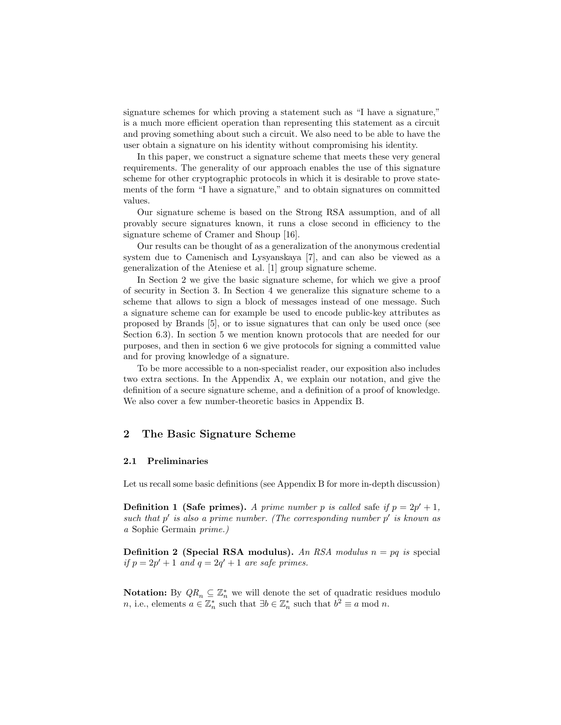signature schemes for which proving a statement such as "I have a signature," is a much more efficient operation than representing this statement as a circuit and proving something about such a circuit. We also need to be able to have the user obtain a signature on his identity without compromising his identity.

In this paper, we construct a signature scheme that meets these very general requirements. The generality of our approach enables the use of this signature scheme for other cryptographic protocols in which it is desirable to prove statements of the form "I have a signature," and to obtain signatures on committed values.

Our signature scheme is based on the Strong RSA assumption, and of all provably secure signatures known, it runs a close second in efficiency to the signature scheme of Cramer and Shoup [16].

Our results can be thought of as a generalization of the anonymous credential system due to Camenisch and Lysyanskaya [7], and can also be viewed as a generalization of the Ateniese et al. [1] group signature scheme.

In Section 2 we give the basic signature scheme, for which we give a proof of security in Section 3. In Section 4 we generalize this signature scheme to a scheme that allows to sign a block of messages instead of one message. Such a signature scheme can for example be used to encode public-key attributes as proposed by Brands [5], or to issue signatures that can only be used once (see Section 6.3). In section 5 we mention known protocols that are needed for our purposes, and then in section 6 we give protocols for signing a committed value and for proving knowledge of a signature.

To be more accessible to a non-specialist reader, our exposition also includes two extra sections. In the Appendix A, we explain our notation, and give the definition of a secure signature scheme, and a definition of a proof of knowledge. We also cover a few number-theoretic basics in Appendix B.

# 2 The Basic Signature Scheme

#### 2.1 Preliminaries

Let us recall some basic definitions (see Appendix B for more in-depth discussion)

**Definition 1 (Safe primes).** A prime number p is called safe if  $p = 2p' + 1$ , such that  $p'$  is also a prime number. (The corresponding number  $p'$  is known as a Sophie Germain prime.)

**Definition 2 (Special RSA modulus).** An RSA modulus  $n = pq$  is special if  $p = 2p' + 1$  and  $q = 2q' + 1$  are safe primes.

**Notation:** By  $QR_n \subseteq \mathbb{Z}_n^*$  we will denote the set of quadratic residues modulo *n*, i.e., elements  $a \in \mathbb{Z}_n^*$  such that  $\exists b \in \mathbb{Z}_n^*$  such that  $b^2 \equiv a \mod n$ .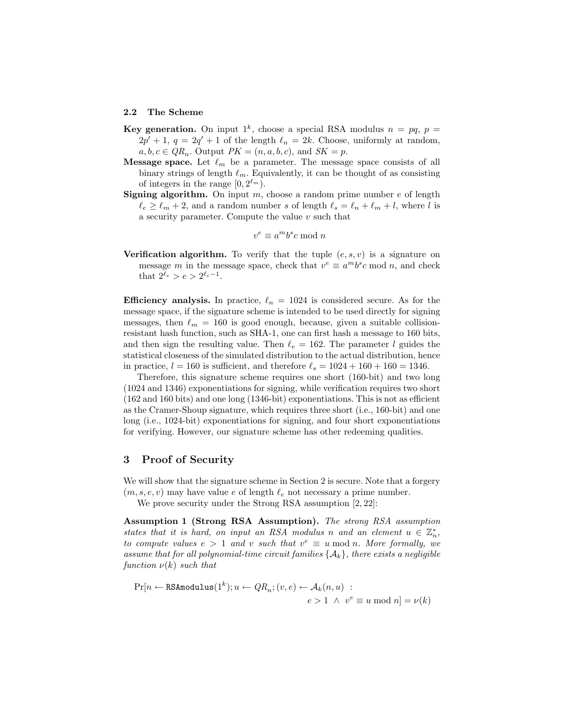#### 2.2 The Scheme

- **Key generation.** On input  $1^k$ , choose a special RSA modulus  $n = pq$ ,  $p =$  $2p' + 1$ ,  $q = 2q' + 1$  of the length  $\ell_n = 2k$ . Choose, uniformly at random,  $a, b, c \in QR_n$ . Output  $PK = (n, a, b, c)$ , and  $SK = p$ .
- **Message space.** Let  $\ell_m$  be a parameter. The message space consists of all binary strings of length  $\ell_m$ . Equivalently, it can be thought of as consisting of integers in the range  $[0, 2^{\ell_m})$ .
- **Signing algorithm.** On input  $m$ , choose a random prime number  $e$  of length  $\ell_e \ge \ell_m + 2$ , and a random number s of length  $\ell_s = \ell_n + \ell_m + l$ , where l is a security parameter. Compute the value  $v$  such that

$$
v^e \equiv a^m b^s c \bmod n
$$

**Verification algorithm.** To verify that the tuple  $(e, s, v)$  is a signature on message m in the message space, check that  $v^e \equiv a^m b^s c \mod n$ , and check that  $2^{\ell_e} > e > 2^{\ell_e - 1}$ .

**Efficiency analysis.** In practice,  $\ell_n = 1024$  is considered secure. As for the message space, if the signature scheme is intended to be used directly for signing messages, then  $\ell_m = 160$  is good enough, because, given a suitable collisionresistant hash function, such as SHA-1, one can first hash a message to 160 bits, and then sign the resulting value. Then  $\ell_e = 162$ . The parameter l guides the statistical closeness of the simulated distribution to the actual distribution, hence in practice,  $l = 160$  is sufficient, and therefore  $\ell_s = 1024 + 160 + 160 = 1346$ .

Therefore, this signature scheme requires one short (160-bit) and two long (1024 and 1346) exponentiations for signing, while verification requires two short (162 and 160 bits) and one long (1346-bit) exponentiations. This is not as efficient as the Cramer-Shoup signature, which requires three short (i.e., 160-bit) and one long (i.e., 1024-bit) exponentiations for signing, and four short exponentiations for verifying. However, our signature scheme has other redeeming qualities.

# 3 Proof of Security

We will show that the signature scheme in Section 2 is secure. Note that a forgery  $(m, s, e, v)$  may have value e of length  $\ell_e$  not necessary a prime number.

We prove security under the Strong RSA assumption [2, 22]:

Assumption 1 (Strong RSA Assumption). The strong RSA assumption states that it is hard, on input an RSA modulus n and an element  $u \in \mathbb{Z}_n^*$ , to compute values  $e > 1$  and v such that  $v^e \equiv u \mod n$ . More formally, we assume that for all polynomial-time circuit families  $\{A_k\}$ , there exists a negligible function  $\nu(k)$  such that

$$
\Pr[n \leftarrow \texttt{RSAmodulus}(1^k); u \leftarrow QR_n; (v, e) \leftarrow A_k(n, u) : \\
e > 1 \ \land \ v^e \equiv u \bmod n] = \nu(k)
$$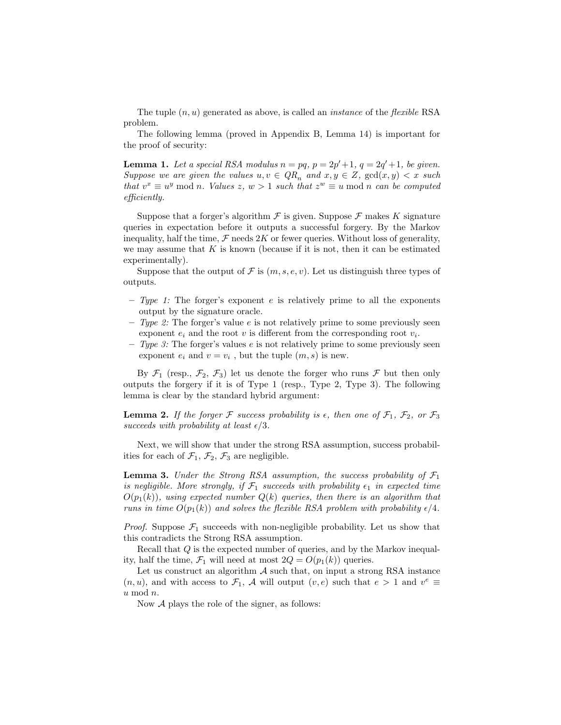The tuple  $(n, u)$  generated as above, is called an *instance* of the *flexible* RSA problem.

The following lemma (proved in Appendix B, Lemma 14) is important for the proof of security:

**Lemma 1.** Let a special RSA modulus  $n = pq$ ,  $p = 2p' + 1$ ,  $q = 2q' + 1$ , be given. Suppose we are given the values  $u, v \in QR_n$  and  $x, y \in Z$ ,  $gcd(x, y) < x$  such that  $v^x \equiv u^y \mod n$ . Values z,  $w > 1$  such that  $z^w \equiv u \mod n$  can be computed efficiently.

Suppose that a forger's algorithm  $\mathcal F$  is given. Suppose  $\mathcal F$  makes  $K$  signature queries in expectation before it outputs a successful forgery. By the Markov inequality, half the time,  $\mathcal F$  needs  $2K$  or fewer queries. Without loss of generality, we may assume that  $K$  is known (because if it is not, then it can be estimated experimentally).

Suppose that the output of  $\mathcal F$  is  $(m, s, e, v)$ . Let us distinguish three types of outputs.

- Type 1: The forger's exponent e is relatively prime to all the exponents output by the signature oracle.
- Type 2: The forger's value e is not relatively prime to some previously seen exponent  $e_i$  and the root v is different from the corresponding root  $v_i$ .
- Type 3: The forger's values e is not relatively prime to some previously seen exponent  $e_i$  and  $v = v_i$ , but the tuple  $(m, s)$  is new.

By  $\mathcal{F}_1$  (resp.,  $\mathcal{F}_2$ ,  $\mathcal{F}_3$ ) let us denote the forger who runs  $\mathcal F$  but then only outputs the forgery if it is of Type 1 (resp., Type 2, Type 3). The following lemma is clear by the standard hybrid argument:

**Lemma 2.** If the forger F success probability is  $\epsilon$ , then one of  $\mathcal{F}_1$ ,  $\mathcal{F}_2$ , or  $\mathcal{F}_3$ succeeds with probability at least  $\epsilon/3$ .

Next, we will show that under the strong RSA assumption, success probabilities for each of  $\mathcal{F}_1$ ,  $\mathcal{F}_2$ ,  $\mathcal{F}_3$  are negligible.

**Lemma 3.** Under the Strong RSA assumption, the success probability of  $\mathcal{F}_1$ is negligible. More strongly, if  $\mathcal{F}_1$  succeeds with probability  $\epsilon_1$  in expected time  $O(p_1(k))$ , using expected number  $Q(k)$  queries, then there is an algorithm that runs in time  $O(p_1(k))$  and solves the flexible RSA problem with probability  $\epsilon/4$ .

*Proof.* Suppose  $\mathcal{F}_1$  succeeds with non-negligible probability. Let us show that this contradicts the Strong RSA assumption.

Recall that Q is the expected number of queries, and by the Markov inequality, half the time,  $\mathcal{F}_1$  will need at most  $2Q = O(p_1(k))$  queries.

Let us construct an algorithm  $A$  such that, on input a strong RSA instance  $(n, u)$ , and with access to  $\mathcal{F}_1$ , A will output  $(v, e)$  such that  $e > 1$  and  $v^e \equiv$ u mod n.

Now  $\mathcal A$  plays the role of the signer, as follows: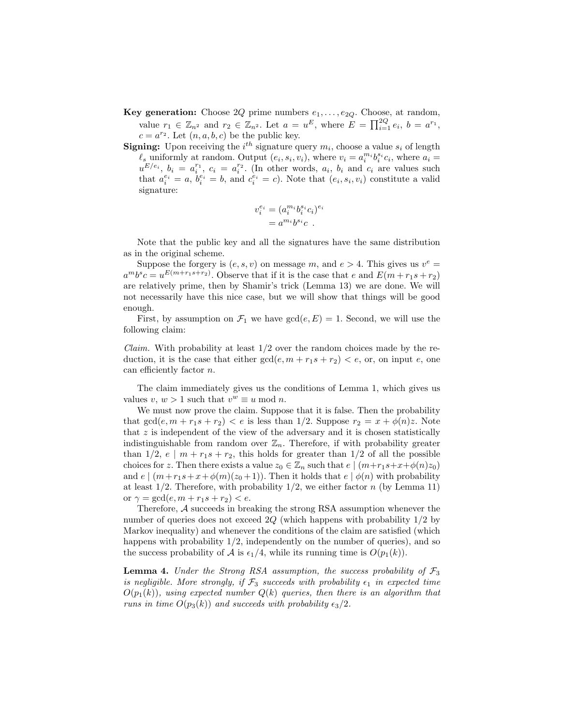- **Key generation:** Choose 2Q prime numbers  $e_1, \ldots, e_{2Q}$ . Choose, at random, value  $r_1 \in \mathbb{Z}_{n^2}$  and  $r_2 \in \mathbb{Z}_{n^2}$ . Let  $a = u^E$ , where  $E = \prod_{i=1}^{2Q} e_i$ ,  $b = a^{r_1}$ ,  $c = a^{r_2}$ . Let  $(n, a, b, c)$  be the public key.
- **Signing:** Upon receiving the  $i^{th}$  signature query  $m_i$ , choose a value  $s_i$  of length  $\ell_s$  uniformly at random. Output  $(e_i, s_i, v_i)$ , where  $v_i = a_i^{m_i} b_i^{s_i} c_i$ , where  $a_i =$  $u^{E/e_i}$ ,  $b_i = a_i^{r_1}$ ,  $c_i = a_i^{r_2}$ . (In other words,  $a_i$ ,  $b_i$  and  $c_i$  are values such that  $a_i^{e_i} = a$ ,  $b_i^{e_i} = b$ , and  $c_i^{e_i} = c$ ). Note that  $(e_i, s_i, v_i)$  constitute a valid signature:

$$
v_i^{e_i} = (a_i^{m_i} b_i^{s_i} c_i)^{e_i}
$$

$$
= a^{m_i} b^{s_i} c.
$$

Note that the public key and all the signatures have the same distribution as in the original scheme.

Suppose the forgery is  $(e, s, v)$  on message m, and  $e > 4$ . This gives us  $v^e =$  $a^m b^s c = u^{E(m+r_1s+r_2)}$ . Observe that if it is the case that e and  $E(m+r_1s+r_2)$ are relatively prime, then by Shamir's trick (Lemma 13) we are done. We will not necessarily have this nice case, but we will show that things will be good enough.

First, by assumption on  $\mathcal{F}_1$  we have  $gcd(e, E) = 1$ . Second, we will use the following claim:

*Claim.* With probability at least  $1/2$  over the random choices made by the reduction, it is the case that either  $gcd(e, m + r_1 s + r_2) < e$ , or, on input e, one can efficiently factor n.

The claim immediately gives us the conditions of Lemma 1, which gives us values  $v, w > 1$  such that  $v^w \equiv u \bmod n$ .

We must now prove the claim. Suppose that it is false. Then the probability that  $gcd(e, m + r_1s + r_2) < e$  is less than 1/2. Suppose  $r_2 = x + \phi(n)z$ . Note that  $z$  is independent of the view of the adversary and it is chosen statistically indistinguishable from random over  $\mathbb{Z}_n$ . Therefore, if with probability greater than  $1/2$ ,  $e \mid m + r_1s + r_2$ , this holds for greater than  $1/2$  of all the possible choices for z. Then there exists a value  $z_0 \in \mathbb{Z}_n$  such that  $e \mid (m+r_1s+x+\phi(n)z_0)$ and  $e \mid (m+r_1s+x+\phi(m)(z_0+1))$ . Then it holds that  $e \mid \phi(n)$  with probability at least  $1/2$ . Therefore, with probability  $1/2$ , we either factor n (by Lemma 11) or  $\gamma = \gcd(e, m + r_1 s + r_2) < e$ .

Therefore,  $\mathcal A$  succeeds in breaking the strong RSA assumption whenever the number of queries does not exceed  $2Q$  (which happens with probability  $1/2$  by Markov inequality) and whenever the conditions of the claim are satisfied (which happens with probability  $1/2$ , independently on the number of queries), and so the success probability of A is  $\epsilon_1/4$ , while its running time is  $O(p_1(k))$ .

**Lemma 4.** Under the Strong RSA assumption, the success probability of  $\mathcal{F}_3$ is negligible. More strongly, if  $\mathcal{F}_3$  succeeds with probability  $\epsilon_1$  in expected time  $O(p_1(k))$ , using expected number  $Q(k)$  queries, then there is an algorithm that runs in time  $O(p_3(k))$  and succeeds with probability  $\epsilon_3/2$ .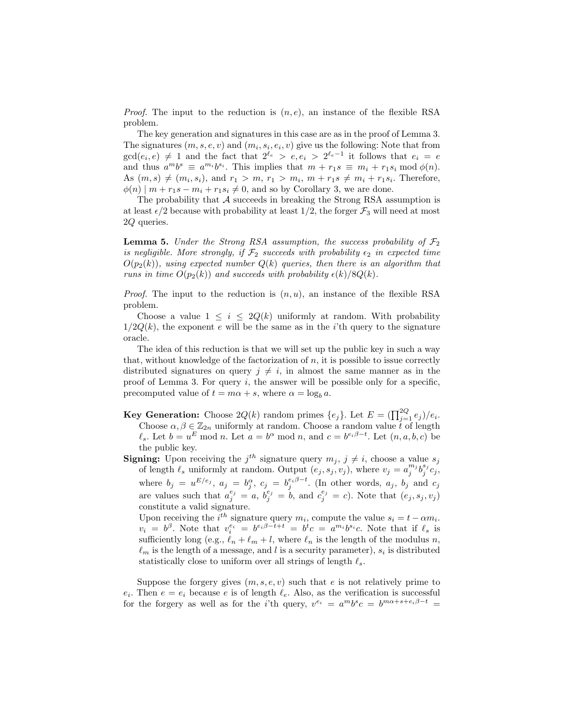*Proof.* The input to the reduction is  $(n, e)$ , an instance of the flexible RSA problem.

The key generation and signatures in this case are as in the proof of Lemma 3. The signatures  $(m, s, e, v)$  and  $(m_i, s_i, e_i, v)$  give us the following: Note that from  $gcd(e_i, e) \neq 1$  and the fact that  $2^{\ell_e} > e, e_i > 2^{\ell_e - 1}$  it follows that  $e_i = e$ and thus  $a^m b^s \equiv a^{m_i} b^{s_i}$ . This implies that  $m + r_1 s \equiv m_i + r_1 s_i \mod \phi(n)$ . As  $(m, s) \neq (m_i, s_i)$ , and  $r_1 > m$ ,  $r_1 > m_i$ ,  $m + r_1 s \neq m_i + r_1 s_i$ . Therefore,  $\phi(n) \mid m + r_1s - m_i + r_1s_i \neq 0$ , and so by Corollary 3, we are done.

The probability that  $A$  succeeds in breaking the Strong RSA assumption is at least  $\epsilon/2$  because with probability at least 1/2, the forger  $\mathcal{F}_3$  will need at most 2Q queries.

**Lemma 5.** Under the Strong RSA assumption, the success probability of  $\mathcal{F}_2$ is negligible. More strongly, if  $\mathcal{F}_2$  succeeds with probability  $\epsilon_2$  in expected time  $O(p_2(k))$ , using expected number  $Q(k)$  queries, then there is an algorithm that runs in time  $O(p_2(k))$  and succeeds with probability  $\epsilon(k)/8Q(k)$ .

*Proof.* The input to the reduction is  $(n, u)$ , an instance of the flexible RSA problem.

Choose a value  $1 \leq i \leq 2Q(k)$  uniformly at random. With probability  $1/2Q(k)$ , the exponent e will be the same as in the *i*'th query to the signature oracle.

The idea of this reduction is that we will set up the public key in such a way that, without knowledge of the factorization of  $n$ , it is possible to issue correctly distributed signatures on query  $j \neq i$ , in almost the same manner as in the proof of Lemma 3. For query  $i$ , the answer will be possible only for a specific, precomputed value of  $t = m\alpha + s$ , where  $\alpha = \log_b a$ .

- **Key Generation:** Choose  $2Q(k)$  random primes  $\{e_j\}$ . Let  $E = \left(\prod_{j=1}^{2Q} e_j\right)/e_i$ . Choose  $\alpha, \beta \in \mathbb{Z}_{2n}$  uniformly at random. Choose a random value t of length  $\ell_s$ . Let  $b = u^E \mod n$ . Let  $a = b^{\alpha} \mod n$ , and  $c = b^{e_i \beta - t}$ . Let  $(n, a, b, c)$  be the public key.
- **Signing:** Upon receiving the  $j^{th}$  signature query  $m_j$ ,  $j \neq i$ , choose a value  $s_j$ of length  $\ell_s$  uniformly at random. Output  $(e_j, s_j, v_j)$ , where  $v_j = a_j^{m_j} b_j^{s_j} c_j$ , where  $b_j = u^{E/e_j}$ ,  $a_j = b_j^{\alpha}$ ,  $c_j = b_j^{e_i\beta - t}$ . (In other words,  $a_j$ ,  $b_j$  and  $c_j$ are values such that  $a_j^{e_j} = a, b_j^{e_j} = b$ , and  $c_j^{e_j} = c$ ). Note that  $(e_j, s_j, v_j)$ constitute a valid signature.

Upon receiving the  $i^{th}$  signature query  $m_i$ , compute the value  $s_i = t - \alpha m_i$ .  $v_i = b^{\beta}$ . Note that  $v_i^{e_i} = b^{e_i\beta - t + t} = b^t c = a^{m_i}b^{s_i}c$ . Note that if  $\ell_s$  is sufficiently long (e.g.,  $\ell_n + \ell_m + l$ , where  $\ell_n$  is the length of the modulus n,  $\ell_m$  is the length of a message, and l is a security parameter),  $s_i$  is distributed statistically close to uniform over all strings of length  $\ell_s$ .

Suppose the forgery gives  $(m, s, e, v)$  such that e is not relatively prime to  $e_i$ . Then  $e = e_i$  because e is of length  $\ell_e$ . Also, as the verification is successful for the forgery as well as for the *i*'th query,  $v^{e_i} = a^m b^s c = b^{m\alpha + s + e_i \beta - t}$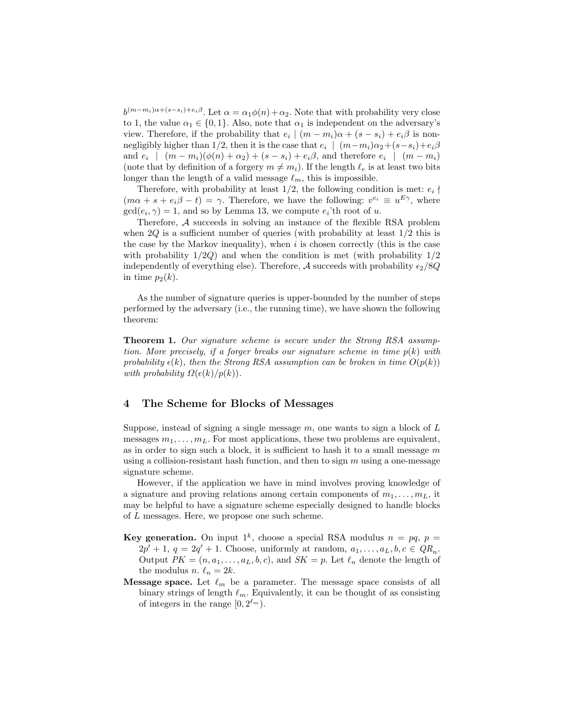$b^{(m-m_i)\alpha + (s-s_i)+e_i\beta}$ . Let  $\alpha = \alpha_1\phi(n) + \alpha_2$ . Note that with probability very close to 1, the value  $\alpha_1 \in \{0, 1\}$ . Also, note that  $\alpha_1$  is independent on the adversary's view. Therefore, if the probability that  $e_i \mid (m - m_i)\alpha + (s - s_i) + e_i\beta$  is nonnegligibly higher than 1/2, then it is the case that  $e_i \mid (m-m_i)\alpha_2 + (s-s_i) + e_i\beta$ and  $e_i \mid (m - m_i)(\phi(n) + \alpha_2) + (s - s_i) + e_i \beta$ , and therefore  $e_i \mid (m - m_i)$ (note that by definition of a forgery  $m \neq m_i$ ). If the length  $\ell_e$  is at least two bits longer than the length of a valid message  $\ell_m$ , this is impossible.

Therefore, with probability at least  $1/2$ , the following condition is met:  $e_i \nmid$  $(m\alpha + s + e_i\beta - t) = \gamma$ . Therefore, we have the following:  $v^{e_i} \equiv u^{E\gamma}$ , where  $gcd(e_i, \gamma) = 1$ , and so by Lemma 13, we compute  $e_i$ 'th root of u.

Therefore, A succeeds in solving an instance of the flexible RSA problem when  $2Q$  is a sufficient number of queries (with probability at least  $1/2$  this is the case by the Markov inequality), when  $i$  is chosen correctly (this is the case with probability  $1/2Q$ ) and when the condition is met (with probability  $1/2$ independently of everything else). Therefore, A succeeds with probability  $\epsilon_2/8Q$ in time  $p_2(k)$ .

As the number of signature queries is upper-bounded by the number of steps performed by the adversary (i.e., the running time), we have shown the following theorem:

**Theorem 1.** Our signature scheme is secure under the Strong RSA assumption. More precisely, if a forger breaks our signature scheme in time  $p(k)$  with probability  $\epsilon(k)$ , then the Strong RSA assumption can be broken in time  $O(p(k))$ with probability  $\Omega(\epsilon(k)/p(k))$ .

# 4 The Scheme for Blocks of Messages

Suppose, instead of signing a single message  $m$ , one wants to sign a block of  $L$ messages  $m_1, \ldots, m_L$ . For most applications, these two problems are equivalent, as in order to sign such a block, it is sufficient to hash it to a small message  $m$ using a collision-resistant hash function, and then to sign  $m$  using a one-message signature scheme.

However, if the application we have in mind involves proving knowledge of a signature and proving relations among certain components of  $m_1, \ldots, m_L$ , it may be helpful to have a signature scheme especially designed to handle blocks of L messages. Here, we propose one such scheme.

- **Key generation.** On input  $1^k$ , choose a special RSA modulus  $n = pq$ ,  $p =$  $2p' + 1$ ,  $q = 2q' + 1$ . Choose, uniformly at random,  $a_1, \ldots, a_L, b, c \in QR_n$ . Output  $PK = (n, a_1, \ldots, a_L, b, c)$ , and  $SK = p$ . Let  $\ell_n$  denote the length of the modulus *n*.  $\ell_n = 2k$ .
- **Message space.** Let  $\ell_m$  be a parameter. The message space consists of all binary strings of length  $\ell_m$ . Equivalently, it can be thought of as consisting of integers in the range  $[0, 2^{\ell_m})$ .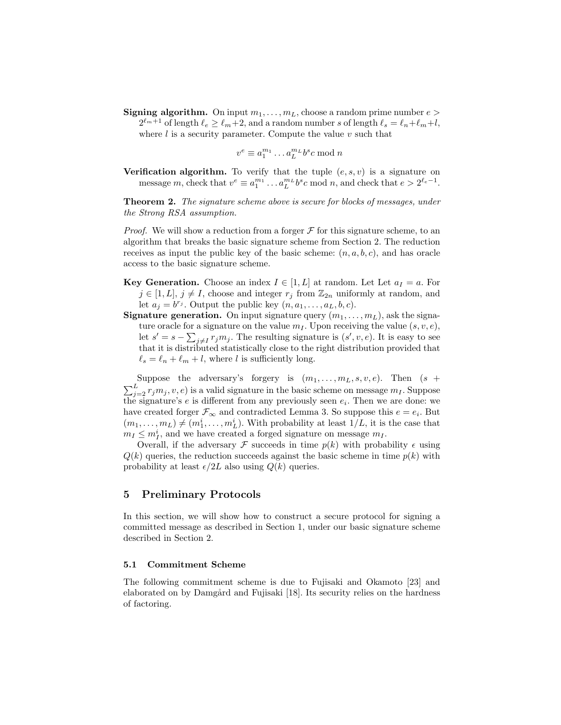**Signing algorithm.** On input  $m_1, \ldots, m_L$ , choose a random prime number  $e >$  $2^{\ell_m+1}$  of length  $\ell_e \geq \ell_m+2$ , and a random number s of length  $\ell_s = \ell_n+\ell_m+l$ , where  $l$  is a security parameter. Compute the value  $v$  such that

$$
v^e \equiv a_1^{m_1} \dots a_L^{m_L} b^s c \bmod n
$$

**Verification algorithm.** To verify that the tuple  $(e, s, v)$  is a signature on message m, check that  $v^e \equiv a_1^{m_1} \dots a_L^{m_L} b^s c \mod n$ , and check that  $e > 2^{\ell_e - 1}$ .

Theorem 2. The signature scheme above is secure for blocks of messages, under the Strong RSA assumption.

*Proof.* We will show a reduction from a forger  $\mathcal F$  for this signature scheme, to an algorithm that breaks the basic signature scheme from Section 2. The reduction receives as input the public key of the basic scheme:  $(n, a, b, c)$ , and has oracle access to the basic signature scheme.

- **Key Generation.** Choose an index  $I \in [1, L]$  at random. Let Let  $a_I = a$ . For  $j \in [1, L], j \neq I$ , choose and integer  $r_j$  from  $\mathbb{Z}_{2n}$  uniformly at random, and let  $a_j = b^{r_j}$ . Output the public key  $(n, a_1, \ldots, a_L, b, c)$ .
- **Signature generation.** On input signature query  $(m_1, \ldots, m_L)$ , ask the signature oracle for a signature on the value  $m_I$ . Upon receiving the value  $(s, v, e)$ , let  $s' = s - \sum_{j \neq I} r_j m_j$ . The resulting signature is  $(s', v, e)$ . It is easy to see that it is distributed statistically close to the right distribution provided that  $\ell_s = \ell_n + \ell_m + l$ , where l is sufficiently long.

Suppose the adversary's forgery is  $(m_1, \ldots, m_L, s, v, e)$ . Then  $(s +$  $\sum_{j=2}^{L} r_j m_j, v, e$  is a valid signature in the basic scheme on message  $m_I$ . Suppose the signature's  $e$  is different from any previously seen  $e_i$ . Then we are done: we have created forger  $\mathcal{F}_{\infty}$  and contradicted Lemma 3. So suppose this  $e = e_i$ . But  $(m_1, \ldots, m_L) \neq (m_1^i, \ldots, m_L^i)$ . With probability at least  $1/L$ , it is the case that  $m_I \leq m_I^i$ , and we have created a forged signature on message  $m_I$ .

Overall, if the adversary  $\mathcal F$  succeeds in time  $p(k)$  with probability  $\epsilon$  using  $Q(k)$  queries, the reduction succeeds against the basic scheme in time  $p(k)$  with probability at least  $\epsilon/2L$  also using  $Q(k)$  queries.

# 5 Preliminary Protocols

In this section, we will show how to construct a secure protocol for signing a committed message as described in Section 1, under our basic signature scheme described in Section 2.

#### 5.1 Commitment Scheme

The following commitment scheme is due to Fujisaki and Okamoto [23] and elaborated on by Damgård and Fujisaki [18]. Its security relies on the hardness of factoring.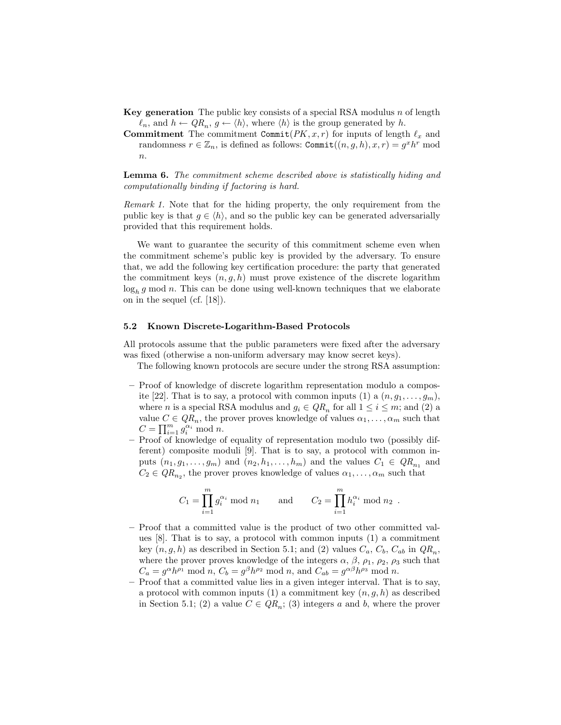- **Key generation** The public key consists of a special RSA modulus  $n$  of length  $\ell_n$ , and  $h \leftarrow QR_n$ ,  $g \leftarrow \langle h \rangle$ , where  $\langle h \rangle$  is the group generated by h.
- **Commitment** The commitment Commit( $PK, x, r$ ) for inputs of length  $\ell_x$  and randomness  $r \in \mathbb{Z}_n$ , is defined as follows: Commit $((n, g, h), x, r) = g^x h^r \mod$  $\mathfrak{n}.$

Lemma 6. The commitment scheme described above is statistically hiding and computationally binding if factoring is hard.

Remark 1. Note that for the hiding property, the only requirement from the public key is that  $g \in \langle h \rangle$ , and so the public key can be generated adversarially provided that this requirement holds.

We want to guarantee the security of this commitment scheme even when the commitment scheme's public key is provided by the adversary. To ensure that, we add the following key certification procedure: the party that generated the commitment keys  $(n, q, h)$  must prove existence of the discrete logarithm  $\log_h g$  mod n. This can be done using well-known techniques that we elaborate on in the sequel (cf. [18]).

#### 5.2 Known Discrete-Logarithm-Based Protocols

All protocols assume that the public parameters were fixed after the adversary was fixed (otherwise a non-uniform adversary may know secret keys).

The following known protocols are secure under the strong RSA assumption:

- Proof of knowledge of discrete logarithm representation modulo a composite [22]. That is to say, a protocol with common inputs (1) a  $(n, q_1, \ldots, q_m)$ , where *n* is a special RSA modulus and  $g_i \in QR_n$  for all  $1 \le i \le m$ ; and (2) a value  $C \in QR_n$ , the prover proves knowledge of values  $\alpha_1, \ldots, \alpha_m$  such that  $C = \prod_{i=1}^{m} g_i^{\alpha_i} \mod n.$
- Proof of knowledge of equality of representation modulo two (possibly different) composite moduli [9]. That is to say, a protocol with common inputs  $(n_1, g_1, \ldots, g_m)$  and  $(n_2, h_1, \ldots, h_m)$  and the values  $C_1 \in QR_{n_1}$  and  $C_2 \in QR_{n_2}$ , the prover proves knowledge of values  $\alpha_1, \ldots, \alpha_m$  such that

$$
C_1 = \prod_{i=1}^m g_i^{\alpha_i} \mod n_1
$$
 and  $C_2 = \prod_{i=1}^m h_i^{\alpha_i} \mod n_2$ .

- Proof that a committed value is the product of two other committed values [8]. That is to say, a protocol with common inputs (1) a commitment key  $(n, q, h)$  as described in Section 5.1; and (2) values  $C_a$ ,  $C_b$ ,  $C_{ab}$  in  $QR_n$ , where the prover proves knowledge of the integers  $\alpha$ ,  $\beta$ ,  $\rho_1$ ,  $\rho_2$ ,  $\rho_3$  such that  $C_a = g^{\alpha}h^{\rho_1} \bmod n, C_b = g^{\beta}h^{\rho_2} \bmod n, \text{ and } C_{ab} = g^{\alpha\beta}h^{\rho_3} \bmod n.$
- Proof that a committed value lies in a given integer interval. That is to say, a protocol with common inputs (1) a commitment key  $(n, g, h)$  as described in Section 5.1; (2) a value  $C \in QR_n$ ; (3) integers a and b, where the prover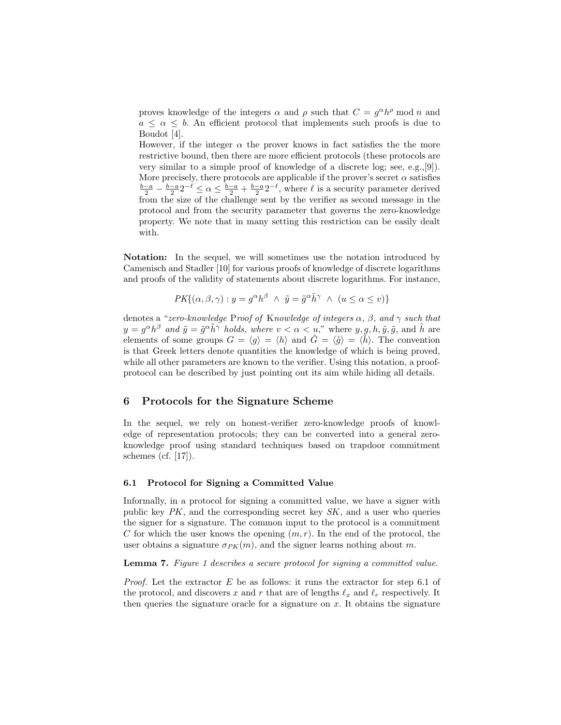proves knowledge of the integers  $\alpha$  and  $\rho$  such that  $C = g^{\alpha} h^{\rho}$  mod n and  $a \leq \alpha \leq b$ . An efficient protocol that implements such proofs is due to Boudot [4].

However, if the integer  $\alpha$  the prover knows in fact satisfies the the more restrictive bound, then there are more efficient protocols (these protocols are very similar to a simple proof of knowledge of a discrete log; see, e.g.,[9]). More precisely, there protocols are applicable if the prover's secret  $\alpha$  satisfies  $\frac{b-a}{2} - \frac{b-a}{2} 2^{-\ell} \le \alpha \le \frac{b-a}{2} + \frac{b-a}{2} 2^{-\ell}$ , where  $\ell$  is a security parameter derived from the size of the challenge sent by the verifier as second message in the protocol and from the security parameter that governs the zero-knowledge property. We note that in many setting this restriction can be easily dealt with.

Notation: In the sequel, we will sometimes use the notation introduced by Camenisch and Stadler [10] for various proofs of knowledge of discrete logarithms and proofs of the validity of statements about discrete logarithms. For instance,

$$
PK\{(\alpha,\beta,\gamma): y = g^{\alpha}h^{\beta} \ \wedge \ \tilde{y} = \tilde{g}^{\alpha}\tilde{h}^{\gamma} \ \wedge \ (u \leq \alpha \leq v)\}
$$

denotes a "zero-knowledge Proof of Knowledge of integers  $\alpha$ ,  $\beta$ , and  $\gamma$  such that  $y = g^{\alpha} h^{\beta}$  and  $\tilde{y} = \tilde{g}^{\alpha} \tilde{h}^{\gamma}$  holds, where  $v < \alpha < u$ ," where  $y, g, h, \tilde{y}, \tilde{g}$ , and  $\tilde{h}$  are elements of some groups  $G = \langle g \rangle = \langle h \rangle$  and  $\tilde{G} = \langle \tilde{g} \rangle = \langle \tilde{h} \rangle$ . The convention is that Greek letters denote quantities the knowledge of which is being proved, while all other parameters are known to the verifier. Using this notation, a proofprotocol can be described by just pointing out its aim while hiding all details.

# 6 Protocols for the Signature Scheme

In the sequel, we rely on honest-verifier zero-knowledge proofs of knowledge of representation protocols; they can be converted into a general zeroknowledge proof using standard techniques based on trapdoor commitment schemes (cf. [17]).

### 6.1 Protocol for Signing a Committed Value

Informally, in a protocol for signing a committed value, we have a signer with public key  $PK$ , and the corresponding secret key  $SK$ , and a user who queries the signer for a signature. The common input to the protocol is a commitment C for which the user knows the opening  $(m, r)$ . In the end of the protocol, the user obtains a signature  $\sigma_{PK}(m)$ , and the signer learns nothing about m.

Lemma 7. Figure 1 describes a secure protocol for signing a committed value.

*Proof.* Let the extractor E be as follows: it runs the extractor for step 6.1 of the protocol, and discovers x and r that are of lengths  $\ell_x$  and  $\ell_r$  respectively. It then queries the signature oracle for a signature on  $x$ . It obtains the signature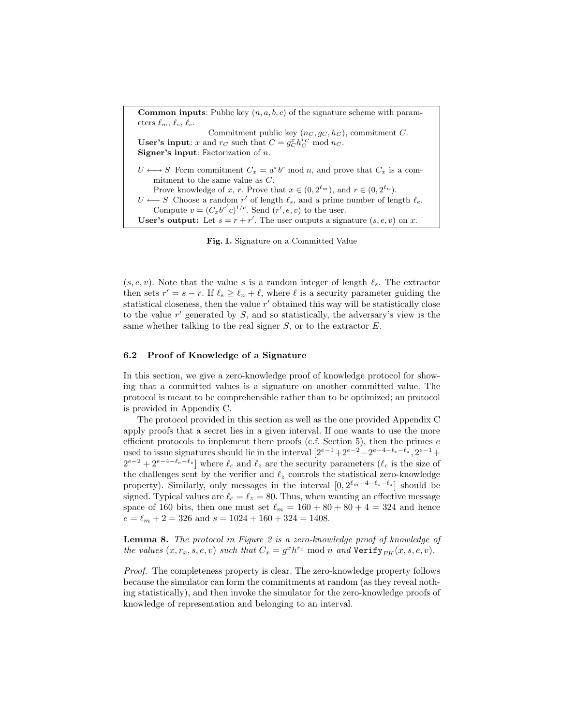**Common inputs:** Public key  $(n, a, b, c)$  of the signature scheme with parameters  $\ell_m, \, \ell_s, \, \ell_e.$ Commitment public key  $(n_C, g_C, h_C)$ , commitment C. User's input: x and  $r_C$  such that  $C = g_C^x h_C^{r_C} \mod n_C$ . Signer's input: Factorization of n.  $U \longleftrightarrow S$  Form commitment  $C_x = a^x b^r \mod n$ , and prove that  $C_x$  is a commitment to the same value as  $C$ . Prove knowledge of x, r. Prove that  $x \in (0, 2^{\ell_m})$ , and  $r \in (0, 2^{\ell_n})$ . U ← S Choose a random r' of length  $\ell_s$ , and a prime number of length  $\ell_e$ . Compute  $v = (C_x b^{r'} c)^{1/e}$ . Send  $(r', e, v)$  to the user. User's output: Let  $s = r + r'$ . The user outputs a signature  $(s, e, v)$  on x.

Fig. 1. Signature on a Committed Value

 $(s, e, v)$ . Note that the value s is a random integer of length  $\ell_s$ . The extractor then sets  $r' = s - r$ . If  $\ell_s \ge \ell_n + \ell$ , where  $\ell$  is a security parameter guiding the statistical closeness, then the value  $r'$  obtained this way will be statistically close to the value  $r'$  generated by  $S$ , and so statistically, the adversary's view is the same whether talking to the real signer  $S$ , or to the extractor  $E$ .

### 6.2 Proof of Knowledge of a Signature

In this section, we give a zero-knowledge proof of knowledge protocol for showing that a committed values is a signature on another committed value. The protocol is meant to be comprehensible rather than to be optimized; an protocol is provided in Appendix C.

The protocol provided in this section as well as the one provided Appendix C apply proofs that a secret lies in a given interval. If one wants to use the more efficient protocols to implement there proofs (c.f. Section 5), then the primes  $e$ used to issue signatures should lie in the interval  $[2^{e-1}+2^{e-2}-2^{e-4-\ell_c-\ell_z}, 2^{e-1}+$  $2^{e-2} + 2^{e-4-\ell_c-\ell_z}$  where  $\ell_c$  and  $\ell_z$  are the security parameters  $(\ell_c$  is the size of the challenges sent by the verifier and  $\ell_z$  controls the statistical zero-knowledge property). Similarly, only messages in the interval  $[0, 2^{\ell_m-4-\ell_c-\ell_z}]$  should be signed. Typical values are  $\ell_c = \ell_z = 80$ . Thus, when wanting an effective message space of 160 bits, then one must set  $\ell_m = 160 + 80 + 80 + 4 = 324$  and hence  $e = \ell_m + 2 = 326$  and  $s = 1024 + 160 + 324 = 1408$ .

Lemma 8. The protocol in Figure 2 is a zero-knowledge proof of knowledge of the values  $(x, r_x, s, e, v)$  such that  $C_x = g^x h^{r_x} \text{ mod } n$  and  $\text{Verify}_{PK}(x, s, e, v)$ .

Proof. The completeness property is clear. The zero-knowledge property follows because the simulator can form the commitments at random (as they reveal nothing statistically), and then invoke the simulator for the zero-knowledge proofs of knowledge of representation and belonging to an interval.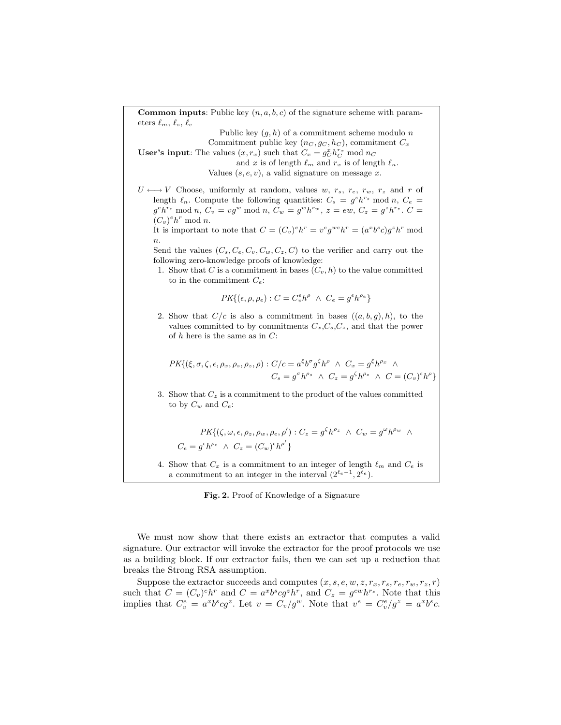**Common inputs:** Public key  $(n, a, b, c)$  of the signature scheme with parameters  $\ell_m, \, \ell_s, \, \ell_e$ Public key  $(q, h)$  of a commitment scheme modulo n Commitment public key  $(n_C, g_C, h_C)$ , commitment  $C_x$ User's input: The values  $(x, r_x)$  such that  $C_x = g_C^x h_C^{r_x} \mod n_C$ and x is of length  $\ell_m$  and  $r_x$  is of length  $\ell_n$ . Values  $(s, e, v)$ , a valid signature on message x.  $U \leftrightarrow V$  Choose, uniformly at random, values w,  $r_s$ ,  $r_e$ ,  $r_w$ ,  $r_z$  and r of length  $\ell_n$ . Compute the following quantities:  $C_s = g^s h^{r_s} \text{ mod } n$ ,  $C_e$  $g^e h^{r_e} \text{ mod } n, C_v = v g^w \text{ mod } n, C_w = g^w h^{r_w}, z = ew, C_z = g^z h^{r_z}. C =$  $(C_v)^e h^r \bmod n$ . It is important to note that  $C = (C_v)^e h^r = v^e g^{we} h^r = (a^x b^s c) g^z h^r$  mod n. Send the values  $(C_s, C_e, C_v, C_w, C_z, C)$  to the verifier and carry out the following zero-knowledge proofs of knowledge: 1. Show that C is a commitment in bases  $(C_v, h)$  to the value committed to in the commitment  $C_e$ :  $PK\{(\epsilon, \rho, \rho_e): C = C_v^{\epsilon}h^{\rho} \ \wedge \ C_e = g^{\epsilon}h^{\rho_e}\}$ 2. Show that  $C/c$  is also a commitment in bases  $((a, b, g), h)$ , to the values committed to by commitments  $C_x, C_s, C_z$ , and that the power of  $h$  here is the same as in  $C$ :  $PK\{(\xi, \sigma, \zeta, \epsilon, \rho_x, \rho_s, \rho_z, \rho): C/c = a^{\xi}b^{\sigma}g^{\zeta}h^{\rho} \ \wedge \ C_x = g^{\xi}h^{\rho_x} \ \wedge$  $C_s = g^{\sigma} h^{\rho_s} \wedge C_z = g^{\zeta} h^{\rho_z} \wedge C = (C_v)^{\epsilon} h^{\rho}$ 3. Show that  $C_z$  is a commitment to the product of the values committed to by  $C_w$  and  $C_e$ :  $PK\{(\zeta,\omega,\epsilon,\rho_z,\rho_w,\rho_e,\rho'): C_z = g^{\zeta}h^{\rho_z} \wedge C_w = g^{\omega}h^{\rho_w} \wedge$  $C_e = g^{\epsilon} h^{\rho_e} \wedge C_z = (C_w)^{\epsilon} h^{\rho'}$ 4. Show that  $C_x$  is a commitment to an integer of length  $\ell_m$  and  $C_e$  is a commitment to an integer in the interval  $(2^{\ell_e-1}, 2^{\ell_e})$ .

Fig. 2. Proof of Knowledge of a Signature

We must now show that there exists an extractor that computes a valid signature. Our extractor will invoke the extractor for the proof protocols we use as a building block. If our extractor fails, then we can set up a reduction that breaks the Strong RSA assumption.

Suppose the extractor succeeds and computes  $(x, s, e, w, z, r_x, r_s, r_e, r_w, r_z, r)$ such that  $C = (C_v)^e h^r$  and  $C = a^x b^s c g^z h^r$ , and  $C_z = g^{ew} h^{r_z}$ . Note that this implies that  $C_v^e = a^x b^s c g^z$ . Let  $v = C_v/g^w$ . Note that  $v^e = C_v^e/g^z = a^x b^s c$ .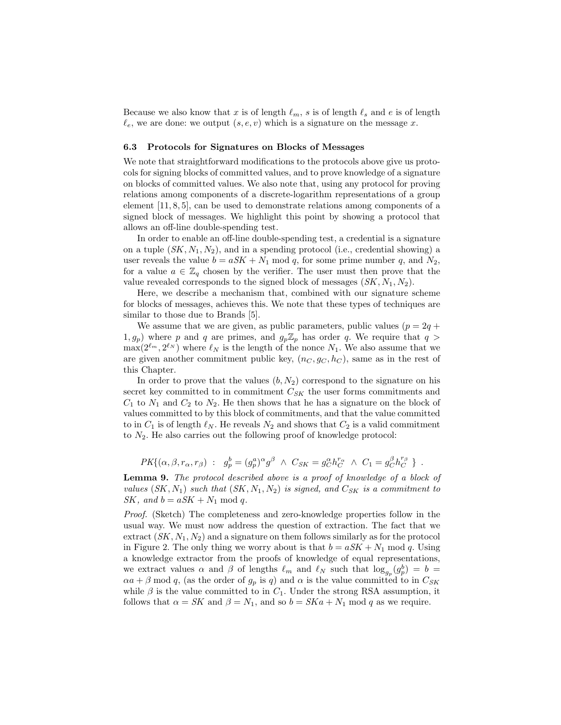Because we also know that x is of length  $\ell_m$ , s is of length  $\ell_s$  and e is of length  $\ell_e$ , we are done: we output  $(s, e, v)$  which is a signature on the message x.

#### 6.3 Protocols for Signatures on Blocks of Messages

We note that straightforward modifications to the protocols above give us protocols for signing blocks of committed values, and to prove knowledge of a signature on blocks of committed values. We also note that, using any protocol for proving relations among components of a discrete-logarithm representations of a group element [11, 8, 5], can be used to demonstrate relations among components of a signed block of messages. We highlight this point by showing a protocol that allows an off-line double-spending test.

In order to enable an off-line double-spending test, a credential is a signature on a tuple  $(SK, N_1, N_2)$ , and in a spending protocol (i.e., credential showing) a user reveals the value  $b = aSK + N_1 \text{ mod } q$ , for some prime number q, and  $N_2$ , for a value  $a \in \mathbb{Z}_q$  chosen by the verifier. The user must then prove that the value revealed corresponds to the signed block of messages  $(SK, N_1, N_2)$ .

Here, we describe a mechanism that, combined with our signature scheme for blocks of messages, achieves this. We note that these types of techniques are similar to those due to Brands [5].

We assume that we are given, as public parameters, public values ( $p = 2q +$ 1,  $g_p$ ) where p and q are primes, and  $g_p \mathbb{Z}_p$  has order q. We require that  $q >$  $\max(2^{\ell_m}, 2^{\ell_N})$  where  $\ell_N$  is the length of the nonce  $N_1$ . We also assume that we are given another commitment public key,  $(n_C, g_C, h_C)$ , same as in the rest of this Chapter.

In order to prove that the values  $(b, N_2)$  correspond to the signature on his secret key committed to in commitment  $C_{SK}$  the user forms commitments and  $C_1$  to  $N_1$  and  $C_2$  to  $N_2$ . He then shows that he has a signature on the block of values committed to by this block of commitments, and that the value committed to in  $C_1$  is of length  $\ell_N$ . He reveals  $N_2$  and shows that  $C_2$  is a valid commitment to  $N_2$ . He also carries out the following proof of knowledge protocol:

$$
PK\{(\alpha,\beta,r_{\alpha},r_{\beta})\;:\;g_p^b=(g_p^a)^{\alpha}g^{\beta}\;\wedge\;C_{SK}=g_C^{\alpha}h_C^{r_{\alpha}}\;\wedge\;C_1=g_C^{\beta}h_C^{r_{\beta}}\;{}\}\;.
$$

Lemma 9. The protocol described above is a proof of knowledge of a block of values  $(SK, N_1)$  such that  $(SK, N_1, N_2)$  is signed, and  $C_{SK}$  is a commitment to SK, and  $b = aSK + N_1 \mod q$ .

Proof. (Sketch) The completeness and zero-knowledge properties follow in the usual way. We must now address the question of extraction. The fact that we extract  $(SK, N_1, N_2)$  and a signature on them follows similarly as for the protocol in Figure 2. The only thing we worry about is that  $b = aSK + N_1 \text{ mod } q$ . Using a knowledge extractor from the proofs of knowledge of equal representations, we extract values  $\alpha$  and  $\beta$  of lengths  $\ell_m$  and  $\ell_N$  such that  $\log_{g_p}(g_p^b) = b =$  $\alpha a + \beta \mod q$ , (as the order of  $g_p$  is q) and  $\alpha$  is the value committed to in  $C_{SK}$ while  $\beta$  is the value committed to in  $C_1$ . Under the strong RSA assumption, it follows that  $\alpha = SK$  and  $\beta = N_1$ , and so  $b = SKa + N_1 \text{ mod } q$  as we require.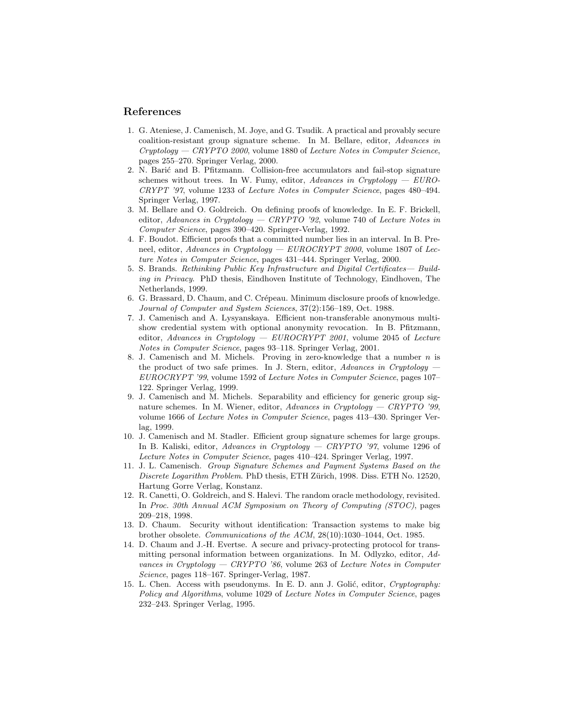### References

- 1. G. Ateniese, J. Camenisch, M. Joye, and G. Tsudik. A practical and provably secure coalition-resistant group signature scheme. In M. Bellare, editor, Advances in  $Cryptography - C RYPTO 2000$ , volume 1880 of Lecture Notes in Computer Science, pages 255–270. Springer Verlag, 2000.
- 2. N. Barić and B. Pfitzmann. Collision-free accumulators and fail-stop signature schemes without trees. In W. Fumy, editor, Advances in Cryptology  $-$  EURO-CRYPT '97, volume 1233 of Lecture Notes in Computer Science, pages 480–494. Springer Verlag, 1997.
- 3. M. Bellare and O. Goldreich. On defining proofs of knowledge. In E. F. Brickell, editor, Advances in Cryptology — CRYPTO '92, volume 740 of Lecture Notes in Computer Science, pages 390–420. Springer-Verlag, 1992.
- 4. F. Boudot. Efficient proofs that a committed number lies in an interval. In B. Preneel, editor, Advances in Cryptology — EUROCRYPT 2000, volume 1807 of Lecture Notes in Computer Science, pages 431–444. Springer Verlag, 2000.
- 5. S. Brands. Rethinking Public Key Infrastructure and Digital Certificates— Building in Privacy. PhD thesis, Eindhoven Institute of Technology, Eindhoven, The Netherlands, 1999.
- 6. G. Brassard, D. Chaum, and C. Crépeau. Minimum disclosure proofs of knowledge. Journal of Computer and System Sciences, 37(2):156–189, Oct. 1988.
- 7. J. Camenisch and A. Lysyanskaya. Efficient non-transferable anonymous multishow credential system with optional anonymity revocation. In B. Pfitzmann, editor, Advances in Cryptology — EUROCRYPT 2001, volume 2045 of Lecture Notes in Computer Science, pages 93–118. Springer Verlag, 2001.
- 8. J. Camenisch and M. Michels. Proving in zero-knowledge that a number  $n$  is the product of two safe primes. In J. Stern, editor, Advances in Cryptology EUROCRYPT '99, volume 1592 of Lecture Notes in Computer Science, pages 107– 122. Springer Verlag, 1999.
- 9. J. Camenisch and M. Michels. Separability and efficiency for generic group signature schemes. In M. Wiener, editor, Advances in Cryptology — CRYPTO '99, volume 1666 of Lecture Notes in Computer Science, pages 413–430. Springer Verlag, 1999.
- 10. J. Camenisch and M. Stadler. Efficient group signature schemes for large groups. In B. Kaliski, editor, Advances in Cryptology — CRYPTO '97, volume 1296 of Lecture Notes in Computer Science, pages 410–424. Springer Verlag, 1997.
- 11. J. L. Camenisch. Group Signature Schemes and Payment Systems Based on the Discrete Logarithm Problem. PhD thesis, ETH Zürich, 1998. Diss. ETH No. 12520, Hartung Gorre Verlag, Konstanz.
- 12. R. Canetti, O. Goldreich, and S. Halevi. The random oracle methodology, revisited. In Proc. 30th Annual ACM Symposium on Theory of Computing (STOC), pages 209–218, 1998.
- 13. D. Chaum. Security without identification: Transaction systems to make big brother obsolete. Communications of the ACM, 28(10):1030–1044, Oct. 1985.
- 14. D. Chaum and J.-H. Evertse. A secure and privacy-protecting protocol for transmitting personal information between organizations. In M. Odlyzko, editor, Advances in Cryptology  $-$  CRYPTO '86, volume 263 of Lecture Notes in Computer Science, pages 118–167. Springer-Verlag, 1987.
- 15. L. Chen. Access with pseudonyms. In E. D. ann J. Golić, editor, Cryptography: Policy and Algorithms, volume 1029 of Lecture Notes in Computer Science, pages 232–243. Springer Verlag, 1995.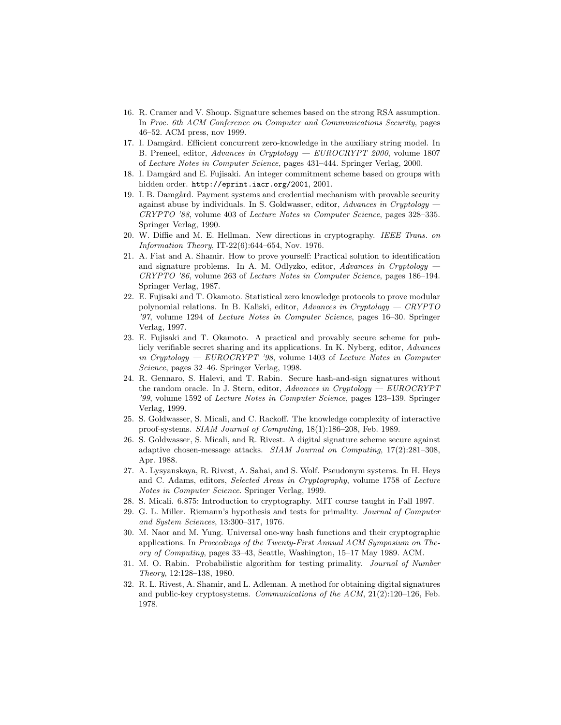- 16. R. Cramer and V. Shoup. Signature schemes based on the strong RSA assumption. In Proc. 6th ACM Conference on Computer and Communications Security, pages 46–52. ACM press, nov 1999.
- 17. I. Damgård. Efficient concurrent zero-knowledge in the auxiliary string model. In B. Preneel, editor, Advances in Cryptology — EUROCRYPT 2000, volume 1807 of Lecture Notes in Computer Science, pages 431–444. Springer Verlag, 2000.
- 18. I. Damgård and E. Fujisaki. An integer commitment scheme based on groups with hidden order. http://eprint.iacr.org/2001, 2001.
- 19. I. B. Damgård. Payment systems and credential mechanism with provable security against abuse by individuals. In S. Goldwasser, editor, Advances in Cryptology — CRYPTO '88, volume 403 of Lecture Notes in Computer Science, pages 328–335. Springer Verlag, 1990.
- 20. W. Diffie and M. E. Hellman. New directions in cryptography. IEEE Trans. on Information Theory, IT-22(6):644–654, Nov. 1976.
- 21. A. Fiat and A. Shamir. How to prove yourself: Practical solution to identification and signature problems. In A. M. Odlyzko, editor, Advances in Cryptology CRYPTO '86, volume 263 of Lecture Notes in Computer Science, pages 186–194. Springer Verlag, 1987.
- 22. E. Fujisaki and T. Okamoto. Statistical zero knowledge protocols to prove modular polynomial relations. In B. Kaliski, editor, Advances in Cryptology — CRYPTO '97, volume 1294 of Lecture Notes in Computer Science, pages 16–30. Springer Verlag, 1997.
- 23. E. Fujisaki and T. Okamoto. A practical and provably secure scheme for publicly verifiable secret sharing and its applications. In K. Nyberg, editor, Advances in Cryptology  $-$  EUROCRYPT '98, volume 1403 of Lecture Notes in Computer Science, pages 32–46. Springer Verlag, 1998.
- 24. R. Gennaro, S. Halevi, and T. Rabin. Secure hash-and-sign signatures without the random oracle. In J. Stern, editor,  $Advances$  in Cryptology -  $EUROCRYPT$ '99, volume 1592 of Lecture Notes in Computer Science, pages 123–139. Springer Verlag, 1999.
- 25. S. Goldwasser, S. Micali, and C. Rackoff. The knowledge complexity of interactive proof-systems. SIAM Journal of Computing, 18(1):186–208, Feb. 1989.
- 26. S. Goldwasser, S. Micali, and R. Rivest. A digital signature scheme secure against adaptive chosen-message attacks. SIAM Journal on Computing, 17(2):281–308, Apr. 1988.
- 27. A. Lysyanskaya, R. Rivest, A. Sahai, and S. Wolf. Pseudonym systems. In H. Heys and C. Adams, editors, Selected Areas in Cryptography, volume 1758 of Lecture Notes in Computer Science. Springer Verlag, 1999.
- 28. S. Micali. 6.875: Introduction to cryptography. MIT course taught in Fall 1997.
- 29. G. L. Miller. Riemann's hypothesis and tests for primality. Journal of Computer and System Sciences, 13:300–317, 1976.
- 30. M. Naor and M. Yung. Universal one-way hash functions and their cryptographic applications. In Proceedings of the Twenty-First Annual ACM Symposium on Theory of Computing, pages 33–43, Seattle, Washington, 15–17 May 1989. ACM.
- 31. M. O. Rabin. Probabilistic algorithm for testing primality. Journal of Number Theory, 12:128–138, 1980.
- 32. R. L. Rivest, A. Shamir, and L. Adleman. A method for obtaining digital signatures and public-key cryptosystems. Communications of the ACM, 21(2):120–126, Feb. 1978.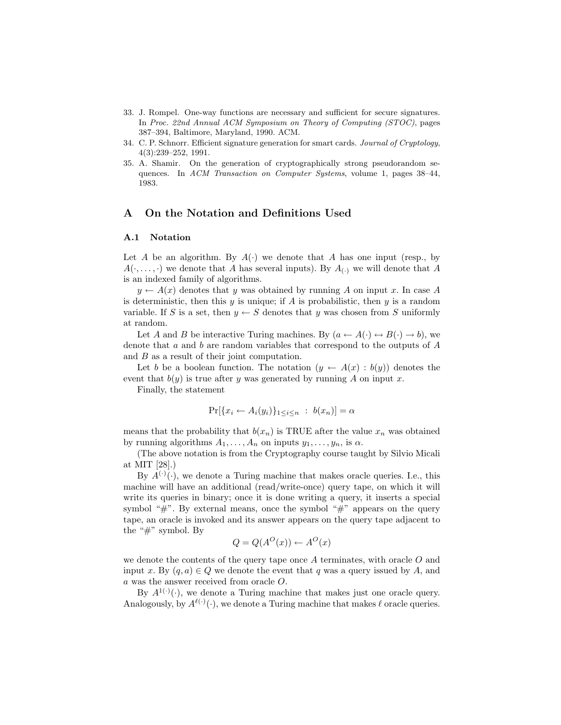- 33. J. Rompel. One-way functions are necessary and sufficient for secure signatures. In Proc. 22nd Annual ACM Symposium on Theory of Computing (STOC), pages 387–394, Baltimore, Maryland, 1990. ACM.
- 34. C. P. Schnorr. Efficient signature generation for smart cards. Journal of Cryptology, 4(3):239–252, 1991.
- 35. A. Shamir. On the generation of cryptographically strong pseudorandom sequences. In ACM Transaction on Computer Systems, volume 1, pages 38–44, 1983.

# A On the Notation and Definitions Used

### A.1 Notation

Let A be an algorithm. By  $A(\cdot)$  we denote that A has one input (resp., by  $A(\cdot, \ldots, \cdot)$  we denote that A has several inputs). By  $A_{(\cdot)}$  we will denote that A is an indexed family of algorithms.

 $y \leftarrow A(x)$  denotes that y was obtained by running A on input x. In case A is deterministic, then this  $y$  is unique; if  $A$  is probabilistic, then  $y$  is a random variable. If S is a set, then  $y \leftarrow S$  denotes that y was chosen from S uniformly at random.

Let A and B be interactive Turing machines. By  $(a \leftarrow A(\cdot) \leftrightarrow B(\cdot) \rightarrow b)$ , we denote that a and b are random variables that correspond to the outputs of A and B as a result of their joint computation.

Let b be a boolean function. The notation  $(y \leftarrow A(x) : b(y))$  denotes the event that  $b(y)$  is true after y was generated by running A on input x.

Finally, the statement

$$
\Pr[\{x_i \leftarrow A_i(y_i)\}_{1 \le i \le n} : b(x_n)] = \alpha
$$

means that the probability that  $b(x_n)$  is TRUE after the value  $x_n$  was obtained by running algorithms  $A_1, \ldots, A_n$  on inputs  $y_1, \ldots, y_n$ , is  $\alpha$ .

(The above notation is from the Cryptography course taught by Silvio Micali at MIT [28].)

By  $A^{(\cdot)}(\cdot)$ , we denote a Turing machine that makes oracle queries. I.e., this machine will have an additional (read/write-once) query tape, on which it will write its queries in binary; once it is done writing a query, it inserts a special symbol " $\#$ ". By external means, once the symbol " $\#$ " appears on the query tape, an oracle is invoked and its answer appears on the query tape adjacent to the " $\#$ " symbol. By

$$
Q = Q(A^{O}(x)) \leftarrow A^{O}(x)
$$

we denote the contents of the query tape once A terminates, with oracle  $O$  and input x. By  $(q, a) \in Q$  we denote the event that q was a query issued by A, and a was the answer received from oracle O.

By  $A^{1(\cdot)}(\cdot)$ , we denote a Turing machine that makes just one oracle query. Analogously, by  $A^{\ell(\cdot)}(\cdot)$ , we denote a Turing machine that makes  $\ell$  oracle queries.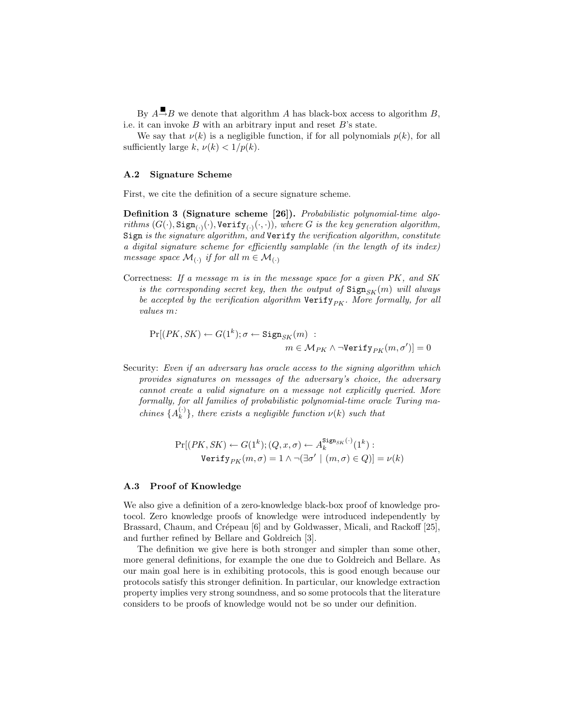By  $A \rightarrow B$  we denote that algorithm A has black-box access to algorithm B, i.e. it can invoke  $B$  with an arbitrary input and reset  $B$ 's state.

We say that  $\nu(k)$  is a negligible function, if for all polynomials  $p(k)$ , for all sufficiently large k,  $\nu(k) < 1/p(k)$ .

#### A.2 Signature Scheme

First, we cite the definition of a secure signature scheme.

Definition 3 (Signature scheme [26]). Probabilistic polynomial-time algorithms  $(G(\cdot), \text{Sign}_{(\cdot)}(\cdot), \text{Verify}_{(\cdot)}(\cdot, \cdot)),$  where G is the key generation algorithm, Sign is the signature algorithm, and Verify the verification algorithm, constitute a digital signature scheme for efficiently samplable (in the length of its index) *message space*  $\mathcal{M}_{\left(\cdot\right)}$  *if for all*  $m \in \mathcal{M}_{\left(\cdot\right)}$ 

Correctness: If a message m is in the message space for a given  $PK$ , and  $SK$ is the corresponding secret key, then the output of  $\text{Sign}_{SK}(m)$  will always be accepted by the verification algorithm  $Verify_{PK}$ . More formally, for all values m:

$$
\Pr[(PK, SK) \leftarrow G(1^k); \sigma \leftarrow \text{Sign}_{SK}(m) : \\ m \in \mathcal{M}_{PK} \land \neg \text{Verify}_{PK}(m, \sigma')] = 0
$$

Security: Even if an adversary has oracle access to the signing algorithm which provides signatures on messages of the adversary's choice, the adversary cannot create a valid signature on a message not explicitly queried. More formally, for all families of probabilistic polynomial-time oracle Turing machines  $\{A_k^{(\cdot)}\}$  $\binom{N}{k}$ , there exists a negligible function  $\nu(k)$  such that

$$
\Pr[(PK, SK) \leftarrow G(1^k); (Q, x, \sigma) \leftarrow A_k^{\text{Sign}_{SK}(\cdot)}(1^k) :
$$

$$
\text{Verify}_{PK}(m, \sigma) = 1 \land \neg(\exists \sigma' \mid (m, \sigma) \in Q)] = \nu(k)
$$

#### A.3 Proof of Knowledge

We also give a definition of a zero-knowledge black-box proof of knowledge protocol. Zero knowledge proofs of knowledge were introduced independently by Brassard, Chaum, and Crépeau [6] and by Goldwasser, Micali, and Rackoff [25], and further refined by Bellare and Goldreich [3].

The definition we give here is both stronger and simpler than some other, more general definitions, for example the one due to Goldreich and Bellare. As our main goal here is in exhibiting protocols, this is good enough because our protocols satisfy this stronger definition. In particular, our knowledge extraction property implies very strong soundness, and so some protocols that the literature considers to be proofs of knowledge would not be so under our definition.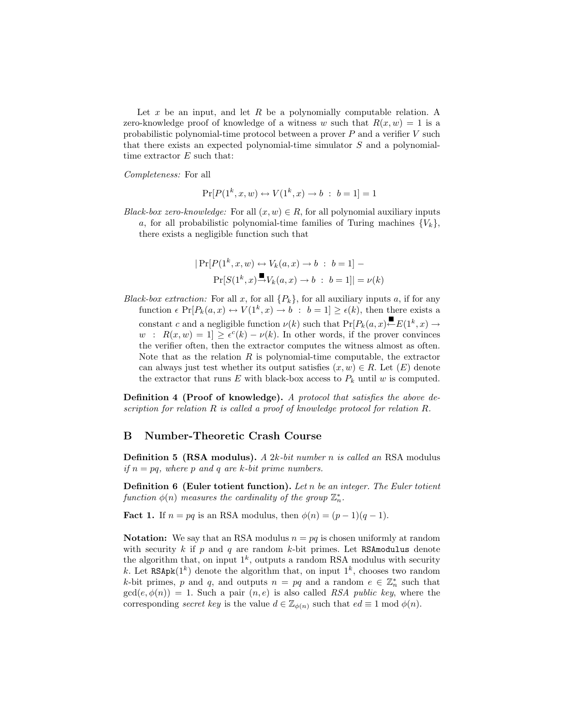Let x be an input, and let R be a polynomially computable relation. A zero-knowledge proof of knowledge of a witness w such that  $R(x, w) = 1$  is a probabilistic polynomial-time protocol between a prover  $P$  and a verifier  $V$  such that there exists an expected polynomial-time simulator S and a polynomialtime extractor  $E$  such that:

Completeness: For all

$$
Pr[P(1^k, x, w) \leftrightarrow V(1^k, x) \to b : b = 1] = 1
$$

Black-box zero-knowledge: For all  $(x, w) \in R$ , for all polynomial auxiliary inputs a, for all probabilistic polynomial-time families of Turing machines  $\{V_k\},\$ 

there exists a negligible function such that

$$
|\Pr[P(1^k, x, w) \leftrightarrow V_k(a, x) \to b : b = 1] -
$$
  
Pr[S(1^k, x)  $\rightarrow$  V<sub>k</sub>(a, x)  $\rightarrow$  b : b = 1]| =  $\nu(k)$ 

Black-box extraction: For all x, for all  $\{P_k\}$ , for all auxiliary inputs a, if for any function  $\epsilon \Pr[P_k(a,x) \leftrightarrow V(1^k,x) \to b : b = 1] \geq \epsilon(k)$ , then there exists a constant c and a negligible function  $\nu(k)$  such that  $Pr[P_k(a, x) \rightarrow E(1^k, x) \rightarrow$  $w : R(x, w) = 1] \geq \epsilon^{c}(k) - \nu(k)$ . In other words, if the prover convinces the verifier often, then the extractor computes the witness almost as often. Note that as the relation  $R$  is polynomial-time computable, the extractor can always just test whether its output satisfies  $(x, w) \in R$ . Let  $(E)$  denote the extractor that runs E with black-box access to  $P_k$  until w is computed.

Definition 4 (Proof of knowledge). A protocol that satisfies the above description for relation R is called a proof of knowledge protocol for relation R.

### B Number-Theoretic Crash Course

Definition 5 (RSA modulus). A 2k-bit number n is called an RSA modulus if  $n = pq$ , where p and q are k-bit prime numbers.

**Definition 6 (Euler totient function).** Let n be an integer. The Euler totient function  $\phi(n)$  measures the cardinality of the group  $\mathbb{Z}_n^*$ .

**Fact 1.** If  $n = pq$  is an RSA modulus, then  $\phi(n) = (p-1)(q-1)$ .

**Notation:** We say that an RSA modulus  $n = pq$  is chosen uniformly at random with security k if p and q are random k-bit primes. Let RSAmodulus denote the algorithm that, on input  $1^k$ , outputs a random RSA modulus with security k. Let RSApk $(1^k)$  denote the algorithm that, on input  $1^k$ , chooses two random k-bit primes, p and q, and outputs  $n = pq$  and a random  $e \in \mathbb{Z}_n^*$  such that  $gcd(e, \phi(n)) = 1$ . Such a pair  $(n, e)$  is also called RSA public key, where the corresponding secret key is the value  $d \in \mathbb{Z}_{\phi(n)}$  such that  $ed \equiv 1 \mod \phi(n)$ .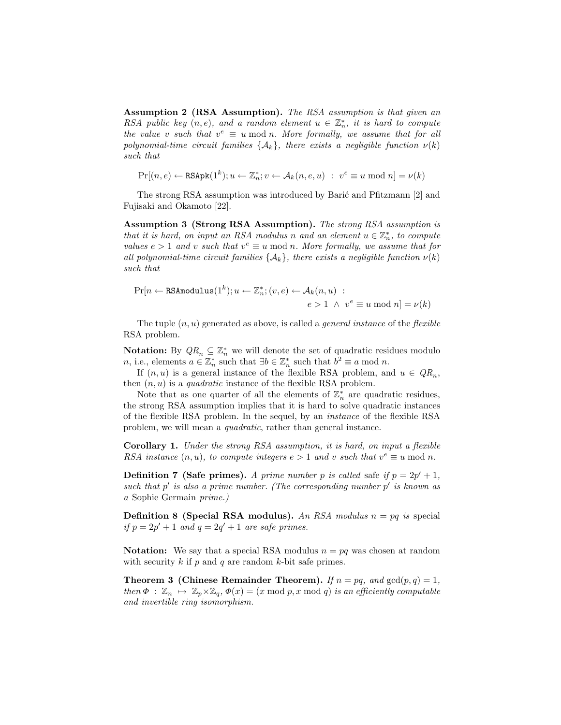Assumption 2 (RSA Assumption). The RSA assumption is that given an RSA public key  $(n, e)$ , and a random element  $u \in \mathbb{Z}_n^*$ , it is hard to compute the value v such that  $v^e \equiv u \mod n$ . More formally, we assume that for all polynomial-time circuit families  $\{A_k\}$ , there exists a negligible function  $\nu(k)$ such that

 $\Pr[(n, e) \leftarrow \texttt{RSApk}(1^k); u \leftarrow \mathbb{Z}_n^*; v \leftarrow \mathcal{A}_k(n, e, u) : v^e \equiv u \bmod n = \nu(k)$ 

The strong RSA assumption was introduced by Barić and Pfitzmann [2] and Fujisaki and Okamoto [22].

Assumption 3 (Strong RSA Assumption). The strong RSA assumption is that it is hard, on input an RSA modulus n and an element  $u \in \mathbb{Z}_n^*$ , to compute values  $e > 1$  and v such that  $v^e \equiv u \mod n$ . More formally, we assume that for all polynomial-time circuit families  $\{A_k\}$ , there exists a negligible function  $\nu(k)$ such that

$$
\Pr[n \leftarrow \texttt{RSAmodulus}(1^k); u \leftarrow \mathbb{Z}_n^*; (v, e) \leftarrow \mathcal{A}_k(n, u) : \\
e > 1 \ \land \ v^e \equiv u \bmod n \, | = \nu(k)
$$

The tuple  $(n, u)$  generated as above, is called a *general instance* of the *flexible* RSA problem.

**Notation:** By  $QR_n \subseteq \mathbb{Z}_n^*$  we will denote the set of quadratic residues modulo *n*, i.e., elements  $a \in \mathbb{Z}_n^*$  such that  $\exists b \in \mathbb{Z}_n^*$  such that  $b^2 \equiv a \mod n$ .

If  $(n, u)$  is a general instance of the flexible RSA problem, and  $u \in QR_n$ , then  $(n, u)$  is a *quadratic* instance of the flexible RSA problem.

Note that as one quarter of all the elements of  $\mathbb{Z}_n^*$  are quadratic residues, the strong RSA assumption implies that it is hard to solve quadratic instances of the flexible RSA problem. In the sequel, by an instance of the flexible RSA problem, we will mean a quadratic, rather than general instance.

Corollary 1. Under the strong RSA assumption, it is hard, on input a flexible RSA instance  $(n, u)$ , to compute integers  $e > 1$  and v such that  $v^e \equiv u \mod n$ .

**Definition 7 (Safe primes).** A prime number p is called safe if  $p = 2p' + 1$ , such that  $p'$  is also a prime number. (The corresponding number  $p'$  is known as a Sophie Germain prime.)

**Definition 8 (Special RSA modulus).** An RSA modulus  $n = pq$  is special if  $p = 2p' + 1$  and  $q = 2q' + 1$  are safe primes.

**Notation:** We say that a special RSA modulus  $n = pq$  was chosen at random with security  $k$  if  $p$  and  $q$  are random  $k$ -bit safe primes.

**Theorem 3 (Chinese Remainder Theorem).** If  $n = pq$ , and  $gcd(p, q) = 1$ . then  $\Phi : \mathbb{Z}_n \mapsto \mathbb{Z}_p \times \mathbb{Z}_q$ ,  $\Phi(x) = (x \mod p, x \mod q)$  is an efficiently computable and invertible ring isomorphism.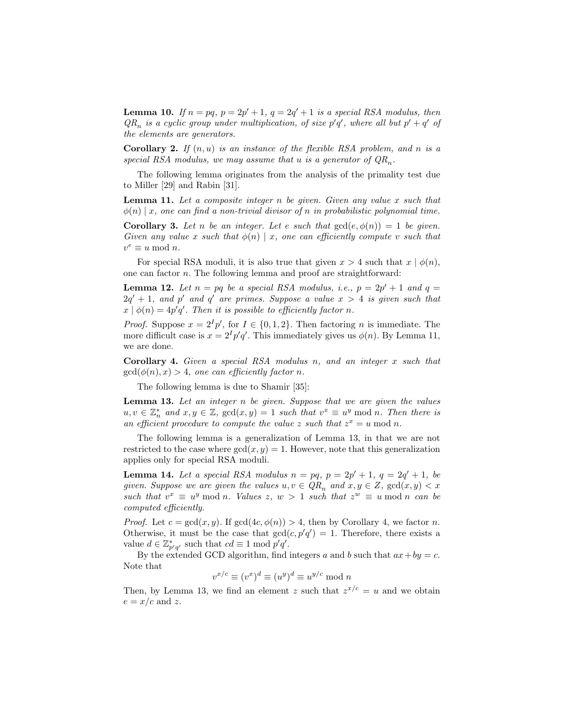**Lemma 10.** If  $n = pq$ ,  $p = 2p' + 1$ ,  $q = 2q' + 1$  is a special RSA modulus, then  $QR_n$  is a cyclic group under multiplication, of size  $p'q'$ , where all but  $p' + q'$  of the elements are generators.

**Corollary 2.** If  $(n, u)$  is an instance of the flexible RSA problem, and n is a special RSA modulus, we may assume that u is a generator of  $QR_n$ .

The following lemma originates from the analysis of the primality test due to Miller [29] and Rabin [31].

**Lemma 11.** Let a composite integer  $n$  be given. Given any value  $x$  such that  $\phi(n) | x$ , one can find a non-trivial divisor of n in probabilistic polynomial time.

**Corollary 3.** Let n be an integer. Let e such that  $gcd(e, \phi(n)) = 1$  be given. Given any value x such that  $\phi(n) \mid x$ , one can efficiently compute v such that  $v^e \equiv u \bmod n$ .

For special RSA moduli, it is also true that given  $x > 4$  such that  $x \mid \phi(n)$ , one can factor  $n$ . The following lemma and proof are straightforward:

**Lemma 12.** Let  $n = pq$  be a special RSA modulus, i.e.,  $p = 2p' + 1$  and  $q =$  $2q' + 1$ , and p' and q' are primes. Suppose a value  $x > 4$  is given such that  $x | \phi(n) = 4p'q'.$  Then it is possible to efficiently factor n.

*Proof.* Suppose  $x = 2^I p'$ , for  $I \in \{0, 1, 2\}$ . Then factoring *n* is immediate. The more difficult case is  $x = 2^{I} p' q'$ . This immediately gives us  $\phi(n)$ . By Lemma 11, we are done.

Corollary 4. Given a special RSA modulus n, and an integer x such that  $gcd(\phi(n), x) > 4$ , one can efficiently factor n.

The following lemma is due to Shamir [35]:

Lemma 13. Let an integer n be given. Suppose that we are given the values  $u, v \in \mathbb{Z}_n^*$  and  $x, y \in \mathbb{Z}$ ,  $gcd(x, y) = 1$  such that  $v^x \equiv u^y \mod n$ . Then there is an efficient procedure to compute the value z such that  $z^x = u \mod n$ .

The following lemma is a generalization of Lemma 13, in that we are not restricted to the case where  $gcd(x, y) = 1$ . However, note that this generalization applies only for special RSA moduli.

**Lemma 14.** Let a special RSA modulus  $n = pq$ ,  $p = 2p' + 1$ ,  $q = 2q' + 1$ , be given. Suppose we are given the values  $u, v \in QR_n$  and  $x, y \in Z$ ,  $gcd(x, y) < x$ such that  $v^x \equiv u^y \mod n$ . Values z,  $w > 1$  such that  $z^w \equiv u \mod n$  can be computed efficiently.

*Proof.* Let  $c = \gcd(x, y)$ . If  $\gcd(4c, \phi(n)) > 4$ , then by Corollary 4, we factor n. Otherwise, it must be the case that  $gcd(c, p'q') = 1$ . Therefore, there exists a value  $d \in \mathbb{Z}_{p'q'}^*$  such that  $cd \equiv 1 \mod p'q'.$ 

By the extended GCD algorithm, find integers a and b such that  $ax + by = c$ . Note that

$$
v^{x/c} \equiv (v^x)^d \equiv (u^y)^d \equiv u^{y/c} \bmod n
$$

Then, by Lemma 13, we find an element z such that  $z^{x/c} = u$  and we obtain  $e = x/c$  and z.